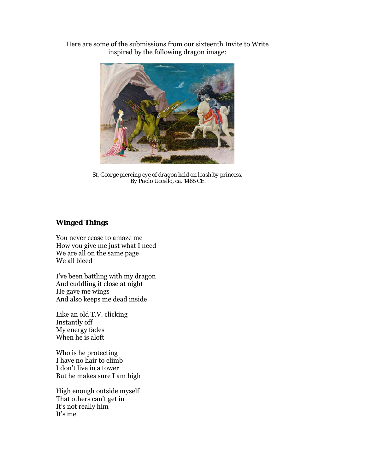Here are some of the submissions from our sixteenth Invite to Write inspired by the following dragon image:



*St. George piercing eye of dragon held on leash by princess. By Paolo Uccello, ca. 1465 CE.* 

## **Winged Things**

You never cease to amaze me How you give me just what I need We are all on the same page We all bleed

I've been battling with my dragon And cuddling it close at night He gave me wings And also keeps me dead inside

Like an old T.V. clicking Instantly off My energy fades When he is aloft

Who is he protecting I have no hair to climb I don't live in a tower But he makes sure I am high

High enough outside myself That others can't get in It's not really him It's me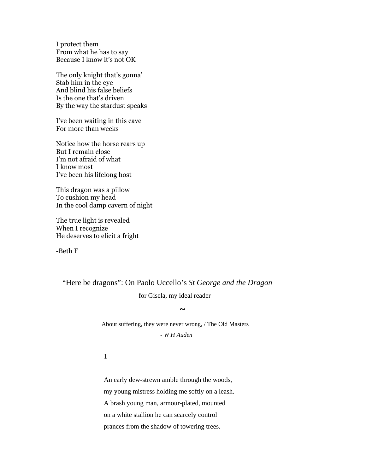I protect them From what he has to say Because I know it's not OK

The only knight that's gonna' Stab him in the eye And blind his false beliefs Is the one that's driven By the way the stardust speaks

I've been waiting in this cave For more than weeks

Notice how the horse rears up But I remain close I'm not afraid of what I know most I've been his lifelong host

This dragon was a pillow To cushion my head In the cool damp cavern of night

The true light is revealed When I recognize He deserves to elicit a fright

-Beth F

"Here be dragons": On Paolo Uccello's *St George and the Dragon*

for Gisela, my ideal reader

 About suffering, they were never wrong, / The Old Masters - *W H Auden*

1

**~** 

An early dew-strewn amble through the woods, my young mistress holding me softly on a leash. A brash young man, armour-plated, mounted on a white stallion he can scarcely control prances from the shadow of towering trees.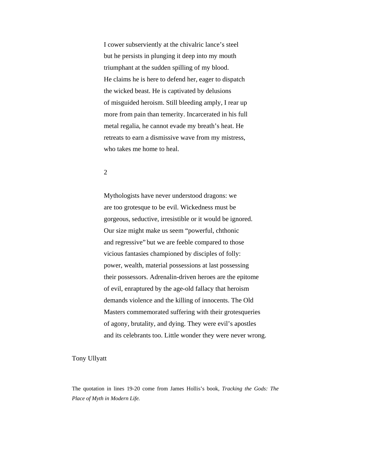I cower subserviently at the chivalric lance's steel but he persists in plunging it deep into my mouth triumphant at the sudden spilling of my blood. He claims he is here to defend her, eager to dispatch the wicked beast. He is captivated by delusions of misguided heroism. Still bleeding amply, I rear up more from pain than temerity. Incarcerated in his full metal regalia, he cannot evade my breath's heat. He retreats to earn a dismissive wave from my mistress, who takes me home to heal.

#### 2

Mythologists have never understood dragons: we are too grotesque to be evil. Wickedness must be gorgeous, seductive, irresistible or it would be ignored. Our size might make us seem "powerful, chthonic and regressive" but we are feeble compared to those vicious fantasies championed by disciples of folly: power, wealth, material possessions at last possessing their possessors. Adrenalin-driven heroes are the epitome of evil, enraptured by the age-old fallacy that heroism demands violence and the killing of innocents. The Old Masters commemorated suffering with their grotesqueries of agony, brutality, and dying. They were evil's apostles and its celebrants too. Little wonder they were never wrong.

#### Tony Ullyatt

The quotation in lines 19-20 come from James Hollis's book, *Tracking the Gods: The Place of Myth in Modern Life.*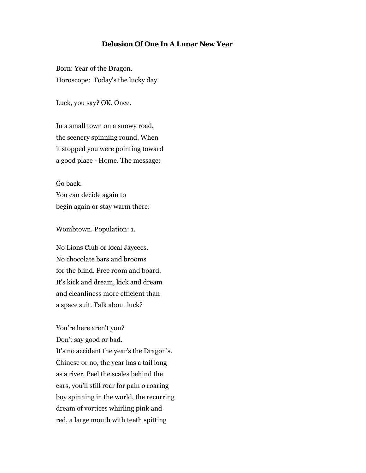## **Delusion Of One In A Lunar New Year**

Born: Year of the Dragon. Horoscope: Today's the lucky day.

Luck, you say? OK. Once.

In a small town on a snowy road, the scenery spinning round. When it stopped you were pointing toward a good place - Home. The message:

Go back. You can decide again to begin again or stay warm there:

Wombtown. Population: 1.

No Lions Club or local Jaycees. No chocolate bars and brooms for the blind. Free room and board. It's kick and dream, kick and dream and cleanliness more efficient than a space suit. Talk about luck?

You're here aren't you? Don't say good or bad. It's no accident the year's the Dragon's. Chinese or no, the year has a tail long as a river. Peel the scales behind the ears, you'll still roar for pain o roaring boy spinning in the world, the recurring dream of vortices whirling pink and red, a large mouth with teeth spitting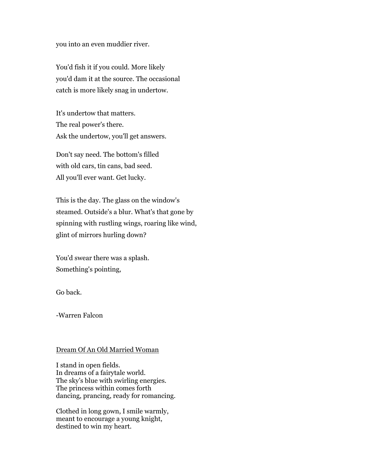you into an even muddier river.

You'd fish it if you could. More likely you'd dam it at the source. The occasional catch is more likely snag in undertow.

It's undertow that matters. The real power's there. Ask the undertow, you'll get answers.

Don't say need. The bottom's filled with old cars, tin cans, bad seed. All you'll ever want. Get lucky.

This is the day. The glass on the window's steamed. Outside's a blur. What's that gone by spinning with rustling wings, roaring like wind, glint of mirrors hurling down?

You'd swear there was a splash. Something's pointing,

Go back.

-Warren Falcon

#### Dream Of An Old Married Woman

I stand in open fields. In dreams of a fairytale world. The sky's blue with swirling energies. The princess within comes forth dancing, prancing, ready for romancing.

Clothed in long gown, I smile warmly, meant to encourage a young knight, destined to win my heart.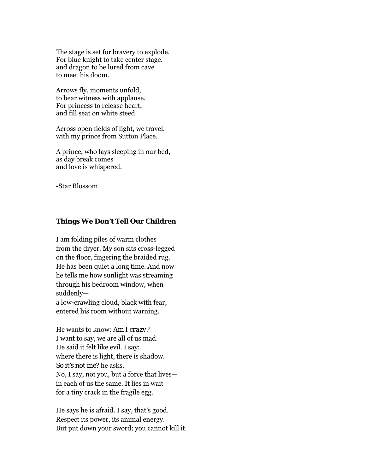The stage is set for bravery to explode. For blue knight to take center stage. and dragon to be lured from cave to meet his doom.

Arrows fly, moments unfold, to bear witness with applause. For princess to release heart, and fill seat on white steed.

Across open fields of light, we travel. with my prince from Sutton Place.

A prince, who lays sleeping in our bed, as day break comes and love is whispered.

-Star Blossom

## **Things We Don't Tell Our Children**

I am folding piles of warm clothes from the dryer. My son sits cross-legged on the floor, fingering the braided rug. He has been quiet a long time. And now he tells me how sunlight was streaming through his bedroom window, when suddenly—

a low-crawling cloud, black with fear, entered his room without warning.

He wants to know: *Am I crazy?* I want to say, we are all of us mad. He said it felt like evil. I say: where there is light, there is shadow. *So it's not me?* he asks. No, I say, not you, but a force that lives in each of us the same. It lies in wait for a tiny crack in the fragile egg.

He says he is afraid. I say, that's good. Respect its power, its animal energy. But put down your sword; you cannot kill it.